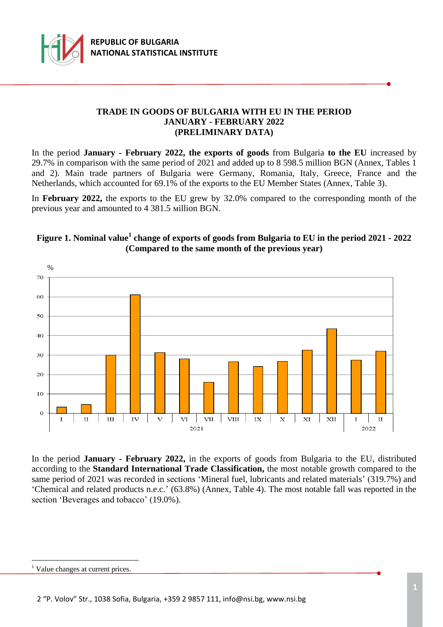

### **TRADE IN GOODS OF BULGARIA WITH EU IN THE PERIOD JANUARY - FEBRUARY 2022 (PRELIMINARY DATA)**

In the period **January - February 2022, the exports of goods** from Bulgaria **to the EU** increased by 29.7% in comparison with the same period of 2021 and added up to 8 598.5 million BGN (Annex, Tables 1 and 2). Main trade partners of Bulgaria were Germany, Romania, Italy, Greece, France and the Netherlands, which accounted for 69.1% of the exports to the EU Member States (Annex, Table 3).

In **February 2022,** the exports to the EU grew by 32.0% compared to the corresponding month of the previous year and amounted to 4 381.5 мillion BGN.

# **Figure 1. Nominal value<sup>1</sup> change of exports of goods from Bulgaria to EU in the period 2021 - 2022 (Compared to the same month of the previous year)**



In the period **January - February 2022,** in the exports of goods from Bulgaria to the EU, distributed according to the **Standard International Trade Classification,** the most notable growth compared to the same period of 2021 was recorded in sections 'Mineral fuel, lubricants and related materials' (319.7%) and 'Chemical and related products n.e.c.' (63.8%) (Annex, Table 4). The most notable fall was reported in the section 'Beverages and tobacco' (19.0%).

i<br>L

<sup>&</sup>lt;sup>1</sup> Value changes at current prices.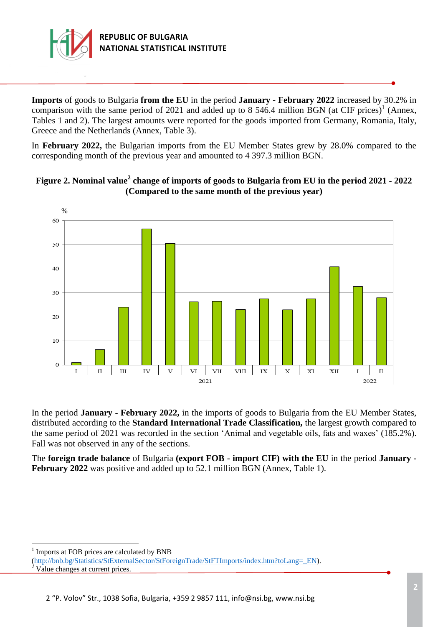

**Imports** of goods to Bulgaria **from the EU** in the period **January - February 2022** increased by 30.2% in comparison with the same period of 2021 and added up to 8 546.4 million BGN (at CIF prices)<sup>1</sup> (Annex, Tables 1 and 2). The largest amounts were reported for the goods imported from Germany, Romania, Italy, Greece and the Netherlands (Annex, Table 3).

In **February 2022,** the Bulgarian imports from the EU Member States grew by 28.0% compared to the corresponding month of the previous year and amounted to 4 397.3 million BGN.



# **Figure 2. Nominal value<sup>2</sup> change of imports of goods to Bulgaria from EU in the period 2021 - 2022 (Compared to the same month of the previous year)**

In the period **January - February 2022,** in the imports of goods to Bulgaria from the EU Member States, distributed according to the **Standard International Trade Classification,** the largest growth compared to the same period of 2021 was recorded in the section 'Animal and vegetable oils, fats and waxes' (185.2%). Fall was not observed in any of the sections.

The **foreign trade balance** of Bulgaria **(export FOB - import CIF) with the EU** in the period **January - February 2022** was positive and added up to 52.1 million BGN (Annex, Table 1).

<sup>1</sup> Imports at FOB prices are calculated by BNB

i<br>L

[<sup>\(</sup>http://bnb.bg/Statistics/StExternalSector/StForeignTrade/StFTImports/index.htm?toLang=\\_EN\)](http://bnb.bg/Statistics/StExternalSector/StForeignTrade/StFTImports/index.htm?toLang=_EN). Value changes at current prices.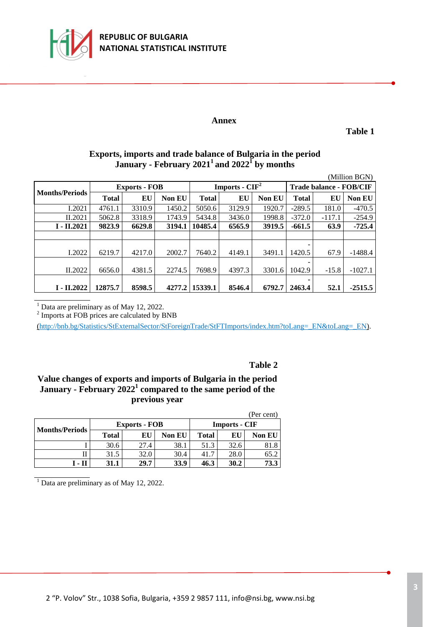

#### **Annex**

**Table 1**

# **Exports, imports and trade balance of Bulgaria in the period January - February 2021<sup>1</sup>and 2022<sup>1</sup> by months**

| (Million BGN)         |              |                      |               |              |                  |               |                                |          |               |  |
|-----------------------|--------------|----------------------|---------------|--------------|------------------|---------------|--------------------------------|----------|---------------|--|
| <b>Months/Periods</b> |              | <b>Exports - FOB</b> |               |              | Imports - $CIF2$ |               | <b>Trade balance - FOB/CIF</b> |          |               |  |
|                       | <b>Total</b> | EU                   | <b>Non EU</b> | <b>Total</b> | EU               | <b>Non EU</b> | <b>Total</b>                   | EU       | <b>Non EU</b> |  |
| I.2021                | 4761.1       | 3310.9               | 1450.2        | 5050.6       | 3129.9           | 1920.7        | $-289.5$                       | 181.0    | $-470.5$      |  |
| II.2021               | 5062.8       | 3318.9               | 1743.9        | 5434.8       | 3436.0           | 1998.8        | $-372.0$                       | $-117.1$ | $-254.9$      |  |
| $I - II.2021$         | 9823.9       | 6629.8               | 3194.1        | 10485.4      | 6565.9           | 3919.5        | $-661.5$                       | 63.9     | $-725.4$      |  |
|                       |              |                      |               |              |                  |               |                                |          |               |  |
|                       |              |                      |               |              |                  |               |                                |          |               |  |
| I.2022                | 6219.7       | 4217.0               | 2002.7        | 7640.2       | 4149.1           | 3491.1        | 1420.5                         | 67.9     | $-1488.4$     |  |
|                       |              |                      |               |              |                  |               |                                |          |               |  |
| II.2022               | 6656.0       | 4381.5               | 2274.5        | 7698.9       | 4397.3           | 3301.6        | 1042.9                         | $-15.8$  | $-1027.1$     |  |
|                       |              |                      |               |              |                  |               |                                |          |               |  |
| $I - II.2022$         | 12875.7      | 8598.5               | 4277.2        | 15339.1      | 8546.4           | 6792.7        | 2463.4                         | 52.1     | $-2515.5$     |  |

Data are preliminary as of May 12, 2022.

<sup>2</sup> Imports at FOB prices are calculated by BNB

[\(http://bnb.bg/Statistics/StExternalSector/StForeignTrade/StFTImports/index.htm?toLang=\\_EN&toLang=\\_EN\).](http://bnb.bg/Statistics/StExternalSector/StForeignTrade/StFTImports/index.htm?toLang=_EN&toLang=_EN)

#### **Table 2**

### **Value changes of exports and imports of Bulgaria in the period January - February 2022<sup>1</sup> compared to the same period of the previous year**

| (Per cent)            |              |                      |               |              |                      |        |  |  |  |  |  |  |
|-----------------------|--------------|----------------------|---------------|--------------|----------------------|--------|--|--|--|--|--|--|
| <b>Months/Periods</b> |              | <b>Exports - FOB</b> |               |              | <b>Imports - CIF</b> |        |  |  |  |  |  |  |
|                       | <b>Total</b> | ЕU                   | <b>Non EU</b> | <b>Total</b> | EU                   | Non EU |  |  |  |  |  |  |
|                       | 30.6         | 27.4                 | 38.1          | 51.3         | 32.6                 | 81.8   |  |  |  |  |  |  |
|                       | 31.5         | 32.0                 | 30.4          | 41.7         | 28.0                 | 65.2   |  |  |  |  |  |  |
| 1 - II                | 31.1         | 29.7                 | 33.9          | 46.3         | 30.2                 | 73.3   |  |  |  |  |  |  |

 $<sup>1</sup>$  Data are preliminary as of May 12, 2022.</sup>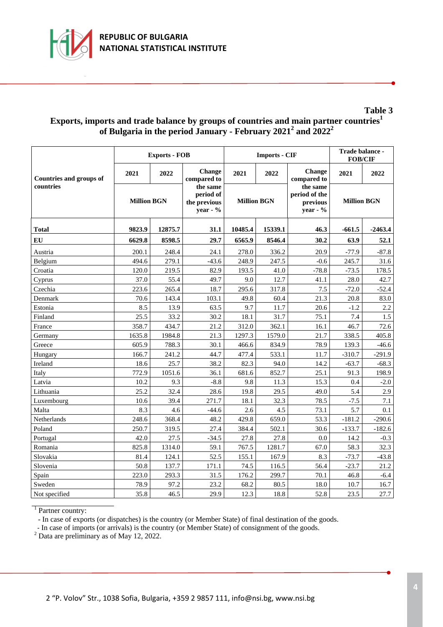

# **Exports, imports and trade balance by groups of countries and main partner countries<sup>1</sup> of Bulgaria in the period January - February 2021 2 and 2022 2**

|                                             |                    | <b>Exports - FOB</b> |                                                   |                    | <b>Imports - CIF</b> | Trade balance -<br><b>FOB/CIF</b>                    |                    |           |
|---------------------------------------------|--------------------|----------------------|---------------------------------------------------|--------------------|----------------------|------------------------------------------------------|--------------------|-----------|
| <b>Countries and groups of</b><br>countries | 2021               | 2022                 | Change<br>compared to                             | 2021               | 2022                 | <b>Change</b><br>compared to                         | 2021               | 2022      |
|                                             | <b>Million BGN</b> |                      | the same<br>period of<br>the previous<br>year - % | <b>Million BGN</b> |                      | the same<br>period of the<br>previous<br>year - $\%$ | <b>Million BGN</b> |           |
| <b>Total</b>                                | 9823.9<br>12875.7  |                      | 31.1                                              | 10485.4            | 15339.1              | 46.3                                                 | $-661.5$           | $-2463.4$ |
| EU                                          | 6629.8             | 8598.5               | 29.7                                              | 6565.9             | 8546.4               | 30.2                                                 | 63.9               | 52.1      |
| Austria                                     | 200.1              | 248.4                | 24.1                                              | 278.0              | 336.2                | 20.9                                                 | $-77.9$            | $-87.8$   |
| Belgium                                     | 494.6              | 279.1                | $-43.6$                                           | 248.9              | 247.5                | $-0.6$                                               | 245.7              | 31.6      |
| Croatia                                     | 120.0              | 219.5                | 82.9                                              | 193.5              | 41.0                 | $-78.8$                                              | $-73.5$            | 178.5     |
| Cyprus                                      | 37.0               | 55.4                 | 49.7                                              | 9.0                | 12.7                 | 41.1                                                 | 28.0               | 42.7      |
| Czechia                                     | 223.6              | 265.4                | 18.7                                              | 295.6              | 317.8                | 7.5                                                  | $-72.0$            | $-52.4$   |
| Denmark                                     | 70.6               | 143.4                | 103.1                                             | 49.8               | 60.4                 | 21.3                                                 | 20.8               | 83.0      |
| Estonia                                     | 8.5                | 13.9                 | 63.5                                              | 9.7                | 11.7                 | 20.6                                                 | $-1.2$             | 2.2       |
| Finland                                     | 25.5               | 33.2                 | 30.2                                              | 18.1               | 31.7                 | 75.1                                                 | 7.4                | 1.5       |
| France                                      | 358.7              | 434.7                | 21.2                                              | 312.0              | 362.1                | 16.1                                                 | 46.7               | 72.6      |
| Germany                                     | 1635.8             | 1984.8               | 21.3                                              | 1297.3             | 1579.0               | 21.7                                                 | 338.5              | 405.8     |
| Greece                                      | 605.9              | 788.3                | 30.1                                              | 466.6              | 834.9                | 78.9                                                 | 139.3              | $-46.6$   |
| Hungary                                     | 166.7              | 241.2                | 44.7                                              | 477.4              | 533.1                | 11.7                                                 | $-310.7$           | $-291.9$  |
| Ireland                                     | 18.6               | 25.7                 | 38.2                                              | 82.3               | 94.0                 | 14.2                                                 | $-63.7$            | $-68.3$   |
| Italy                                       | 772.9              | 1051.6               | 36.1                                              | 681.6              | 852.7                | 25.1                                                 | 91.3               | 198.9     |
| Latvia                                      | 10.2               | 9.3                  | $-8.8$                                            | 9.8                | 11.3                 | 15.3                                                 | 0.4                | $-2.0$    |
| Lithuania                                   | 25.2               | 32.4                 | 28.6                                              | 19.8               | 29.5                 | 49.0                                                 | 5.4                | 2.9       |
| Luxembourg                                  | 10.6               | 39.4                 | 271.7                                             | 18.1               | 32.3                 | 78.5                                                 | $-7.5$             | 7.1       |
| Malta                                       | 8.3                | 4.6                  | $-44.6$                                           | 2.6                | 4.5                  | 73.1                                                 | 5.7                | 0.1       |
| Netherlands                                 | 248.6              | 368.4                | 48.2                                              | 429.8              | 659.0                | 53.3                                                 | $-181.2$           | $-290.6$  |
| Poland                                      | 250.7              | 319.5                | 27.4                                              | 384.4              | 502.1                | 30.6                                                 | $-133.7$           | $-182.6$  |
| Portugal                                    | 42.0               | 27.5                 | $-34.5$                                           | 27.8               | 27.8                 | 0.0                                                  | 14.2               | $-0.3$    |
| Romania                                     | 825.8              | 1314.0               | 59.1                                              | 767.5              | 1281.7               | 67.0                                                 | 58.3               | 32.3      |
| Slovakia                                    | 81.4               | 124.1                | 52.5                                              | 155.1              | 167.9                | 8.3                                                  | $-73.7$            | $-43.8$   |
| Slovenia                                    | 50.8               | 137.7                | 171.1                                             | 74.5               | 116.5                | 56.4                                                 | $-23.7$            | 21.2      |
| Spain                                       | 223.0              | 293.3                | 31.5                                              | 176.2              | 299.7                | 70.1                                                 | 46.8               | $-6.4$    |
| Sweden                                      | 78.9               | 97.2                 | 23.2                                              | 68.2               | 80.5                 | 18.0                                                 | 10.7               | 16.7      |
| Not specified                               | 35.8               | 46.5                 | 29.9                                              | 12.3               | 18.8                 | 52.8                                                 | 23.5               | 27.7      |

<sup>1</sup> Partner country:

- In case of exports (or dispatches) is the country (or Member State) of final destination of the goods.

- In case of imports (or arrivals) is the country (or Member State) of consignment of the goods.

 $2$  Data are preliminary as of May 12, 2022.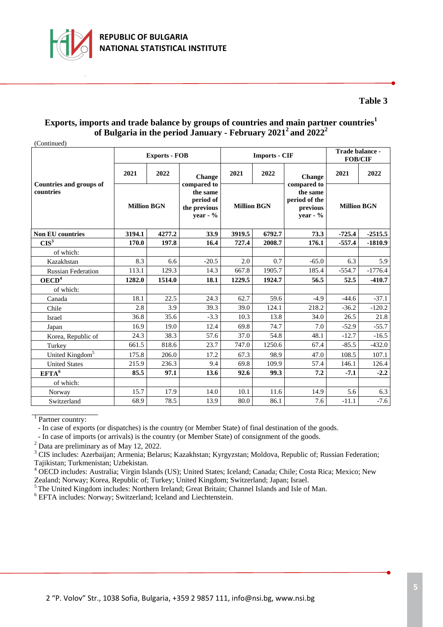

#### **Exports, imports and trade balance by groups of countries and main partner countries<sup>1</sup> of Bulgaria in the period January - February 2021 2 and 2022 2**

(Continued)

|                                |                    | <b>Exports - FOB</b> |                                                                     |                    | <b>Imports - CIF</b> | Trade balance -<br><b>FOB/CIF</b>                                   |                    |           |
|--------------------------------|--------------------|----------------------|---------------------------------------------------------------------|--------------------|----------------------|---------------------------------------------------------------------|--------------------|-----------|
| <b>Countries and groups of</b> | 2021               | 2022                 | <b>Change</b>                                                       | 2021               | 2022                 | <b>Change</b>                                                       | 2021               | 2022      |
| countries                      | <b>Million BGN</b> |                      | compared to<br>the same<br>period of<br>the previous<br>year - $\%$ | <b>Million BGN</b> |                      | compared to<br>the same<br>period of the<br>previous<br>year - $\%$ | <b>Million BGN</b> |           |
| <b>Non EU countries</b>        | 3194.1             | 4277.2               | 33.9                                                                | 3919.5             | 6792.7               | 73.3                                                                | $-725.4$           | $-2515.5$ |
| CIS <sup>3</sup>               | 170.0              | 197.8                | 16.4                                                                | 727.4              | 2008.7               | 176.1                                                               | $-557.4$           | $-1810.9$ |
| of which:                      |                    |                      |                                                                     |                    |                      |                                                                     |                    |           |
| Kazakhstan                     | 8.3                | 6.6                  | $-20.5$                                                             | 2.0                | 0.7                  | $-65.0$                                                             | 6.3                | 5.9       |
| <b>Russian Federation</b>      | 113.1              | 129.3                | 14.3                                                                | 667.8              | 1905.7               | 185.4                                                               | $-554.7$           | $-1776.4$ |
| OECD <sup>4</sup>              | 1282.0             | 1514.0               | 18.1                                                                | 1229.5             | 1924.7               | 56.5                                                                | 52.5               | $-410.7$  |
| of which:                      |                    |                      |                                                                     |                    |                      |                                                                     |                    |           |
| Canada                         | 18.1               | 22.5                 | 24.3                                                                | 62.7               | 59.6                 | $-4.9$                                                              | $-44.6$            | $-37.1$   |
| Chile                          | 2.8                | 3.9                  | 39.3                                                                | 39.0               | 124.1                | 218.2                                                               | $-36.2$            | $-120.2$  |
| Israel                         | 36.8               | 35.6                 | $-3.3$                                                              | 10.3               | 13.8                 | 34.0                                                                | 26.5               | 21.8      |
| Japan                          | 16.9               | 19.0                 | 12.4                                                                | 69.8               | 74.7                 | 7.0                                                                 | $-52.9$            | $-55.7$   |
| Korea, Republic of             | 24.3               | 38.3                 | 57.6                                                                | 37.0               | 54.8                 | 48.1                                                                | $-12.7$            | $-16.5$   |
| Turkey                         | 661.5              | 818.6                | 23.7                                                                | 747.0              | 1250.6               | 67.4                                                                | $-85.5$            | $-432.0$  |
| United Kingdom <sup>5</sup>    | 175.8              | 206.0                | 17.2                                                                | 67.3               | 98.9                 | 47.0                                                                | 108.5              | 107.1     |
| <b>United States</b>           | 215.9              | 236.3                | 9.4                                                                 | 69.8               | 109.9                | 57.4                                                                | 146.1              | 126.4     |
| EFTA <sup>6</sup>              | 85.5               | 97.1                 | 13.6                                                                | 92.6               | 99.3                 | 7.2                                                                 | $-7.1$             | $-2.2$    |
| of which:                      |                    |                      |                                                                     |                    |                      |                                                                     |                    |           |
| Norway                         | 15.7               | 17.9                 | 14.0                                                                | 10.1               | 11.6                 | 14.9                                                                | 5.6                | 6.3       |
| Switzerland                    | 68.9               | 78.5                 | 13.9                                                                | 80.0               | 86.1                 | 7.6                                                                 | $-11.1$            | $-7.6$    |

<sup>1</sup> Partner country:

- In case of exports (or dispatches) is the country (or Member State) of final destination of the goods.

- In case of imports (or arrivals) is the country (or Member State) of consignment of the goods.

 $2$  Data are preliminary as of May 12, 2022.

<sup>3</sup> CIS includes: Azerbaijan; Armenia; Belarus; Kazakhstan; Kyrgyzstan; Moldova, Republic of; Russian Federation; Tajikistan; Turkmenistan; Uzbekistan.

<sup>4</sup> OECD includes: Australia; Virgin Islands (US); United States; Iceland; Canada; Chile; Costa Rica; Mexico; New Zealand; Norway; Korea, Republic of; Turkey; United Kingdom; Switzerland; Japan; Israel.

<sup>5</sup>The United Kingdom includes: Northern Ireland; Great Britain; Channel Islands and Isle of Man.

<sup>6</sup> EFTA includes: Norway; Switzerland; Iceland and Liechtenstein.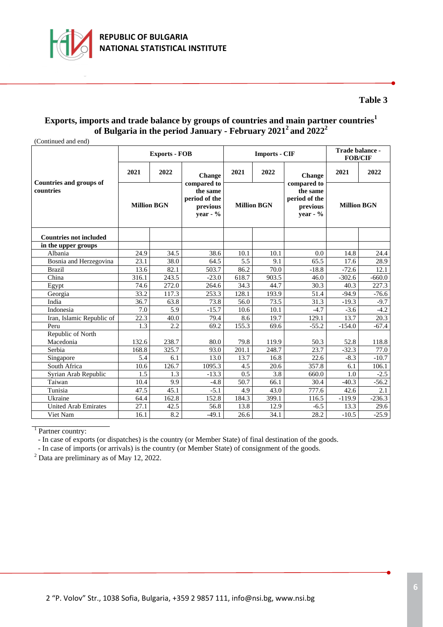

# **Exports, imports and trade balance by groups of countries and main partner countries<sup>1</sup> of Bulgaria in the period January - February 2021 2 and 2022 2**

(Continued and end)

|                                             |                    | <b>Exports - FOB</b> |                                                                     |                    | <b>Imports - CIF</b> | Trade balance -<br><b>FOB/CIF</b>                                  |                    |          |
|---------------------------------------------|--------------------|----------------------|---------------------------------------------------------------------|--------------------|----------------------|--------------------------------------------------------------------|--------------------|----------|
|                                             | 2021               | 2022                 | <b>Change</b>                                                       | 2021               | 2022                 | <b>Change</b>                                                      | 2021               | 2022     |
| <b>Countries and groups of</b><br>countries | <b>Million BGN</b> |                      | compared to<br>the same<br>period of the<br>previous<br>year - $\%$ | <b>Million BGN</b> |                      | compared to<br>the same<br>period of the<br>previous<br>vear - $%$ | <b>Million BGN</b> |          |
| <b>Countries not included</b>               |                    |                      |                                                                     |                    |                      |                                                                    |                    |          |
| in the upper groups                         |                    |                      |                                                                     |                    |                      |                                                                    |                    |          |
| Albania                                     | 24.9               | 34.5                 | 38.6                                                                | 10.1               | 10.1                 | 0.0                                                                | 14.8               | 24.4     |
| Bosnia and Herzegovina                      | 23.1               | 38.0                 | 64.5                                                                | 5.5                | 9.1                  | 65.5                                                               | 17.6               | 28.9     |
| <b>Brazil</b>                               | 13.6               | 82.1                 | 503.7                                                               | 86.2               | 70.0                 | $-18.8$                                                            | $-72.6$            | 12.1     |
| China                                       | 316.1              | 243.5                | $-23.0$                                                             | 618.7              | 903.5                | 46.0                                                               | $-302.6$           | $-660.0$ |
| Egypt                                       | 74.6               | 272.0                | 264.6                                                               | 34.3               | 44.7                 | 30.3                                                               | 40.3               | 227.3    |
| Georgia                                     | 33.2               | 117.3                | 253.3                                                               | 128.1              | 193.9                | 51.4                                                               | $-94.9$            | $-76.6$  |
| India                                       | 36.7               | 63.8                 | 73.8                                                                | 56.0               | 73.5                 | 31.3                                                               | $-19.3$            | $-9.7$   |
| Indonesia                                   | 7.0                | 5.9                  | $-15.7$                                                             | 10.6               | 10.1                 | $-4.7$                                                             | $-3.6$             | $-4.2$   |
| Iran, Islamic Republic of                   | 22.3               | 40.0                 | 79.4                                                                | 8.6                | 19.7                 | 129.1                                                              | 13.7               | 20.3     |
| Peru                                        | 1.3                | 2.2                  | 69.2                                                                | 155.3              | 69.6                 | $-55.2$                                                            | $-154.0$           | $-67.4$  |
| Republic of North                           |                    |                      |                                                                     |                    |                      |                                                                    |                    |          |
| Macedonia                                   | 132.6              | 238.7                | 80.0                                                                | 79.8               | 119.9                | 50.3                                                               | 52.8               | 118.8    |
| Serbia                                      | 168.8              | 325.7                | 93.0                                                                | 201.1              | 248.7                | 23.7                                                               | $-32.3$            | 77.0     |
| Singapore                                   | 5.4                | 6.1                  | 13.0                                                                | 13.7               | 16.8                 | 22.6                                                               | $-8.3$             | $-10.7$  |
| South Africa                                | 10.6               | 126.7                | 1095.3                                                              | 4.5                | 20.6                 | 357.8                                                              | 6.1                | 106.1    |
| Syrian Arab Republic                        | 1.5                | 1.3                  | $-13.3$                                                             | 0.5                | 3.8                  | 660.0                                                              | 1.0                | $-2.5$   |
| Taiwan                                      | 10.4               | 9.9                  | $-4.8$                                                              | 50.7               | 66.1                 | 30.4                                                               | $-40.3$            | $-56.2$  |
| Tunisia                                     | 47.5               | 45.1                 | $-5.1$                                                              | 4.9                | 43.0                 | 777.6                                                              | 42.6               | 2.1      |
| Ukraine                                     | 64.4               | 162.8                | 152.8                                                               | 184.3              | 399.1                | 116.5                                                              | $-119.9$           | $-236.3$ |
| <b>United Arab Emirates</b>                 | 27.1               | 42.5                 | 56.8                                                                | 13.8               | 12.9                 | $-6.5$                                                             | 13.3               | 29.6     |
| Viet Nam                                    | 16.1               | 8.2                  | $-49.1$                                                             | 26.6               | 34.1                 | 28.2                                                               | $-10.5$            | $-25.9$  |

<sup>1</sup> Partner country:

- In case of exports (or dispatches) is the country (or Member State) of final destination of the goods.

- In case of imports (or arrivals) is the country (or Member State) of consignment of the goods.

 $2$  Data are preliminary as of May 12, 2022.